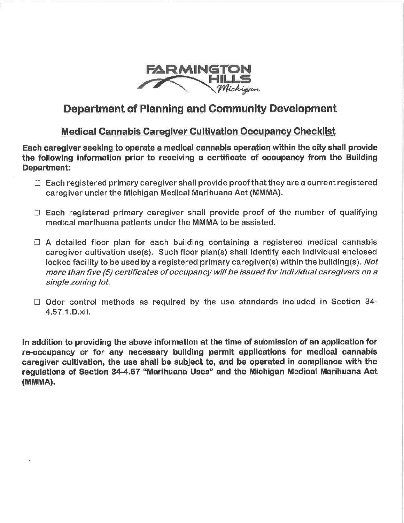

## **Department of Planning and Community Development**

# **Medical Cannabis Caregiver Cultivation Occupancy Checklist**

Each **caregiver seeking to operate a medical cannabis operation within the city shall provide the following Information prior to receiving a certificate of occupancy from the Building Department:** 

- $\square$  Each registered primary caregiver shall provide proof that they are a current registered caregiver under the Michigan Medical Marihuana Act **(MMMA).**
- $\square$  Each registered primary caregiver shall provide proof of the number of qualifying medical marihuana patients under the **MMMA** to be assisted.
- $\Box$  A detailed floor plan for each building containing a registered medical cannabis caregiver cultivation use(s). Such floor plan(s) shall identify each individual enclosed locked facility to be used by a registered primary caregiver(s) within the building(s). Not more than five (5) certificates of occupancy will be issued for individual caregivers on a single zoning lot.
- $\Box$  Odor control methods as required by the use standards included in Section 34-4.57.1.0.xii.

**In addition to providing the above Information at the time of submission of an application for re~occupancy or for any necessary building permit applications for medical cannabis caregiver cultlvatlon, the use shall be subject to, and be operated in compliance with the regulations of Section 34-4.57 "Marihuana Uses" and the Michigan Medical Marlhuana Act (MMMA).**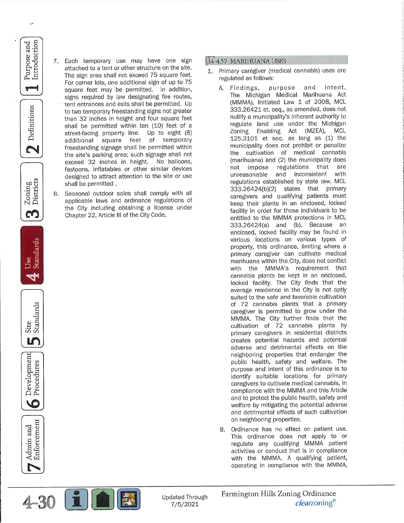7. Each temporary use may have one sign attached to a tent or other structure on the site. The sign area shall not exceed 75 square feet. For corner lots, one additional sign of up to 75 square feet may be permitted. In addition. signs required by law designating fire routes, tent entrances and exits shall be permitted. Up to two temporary freestanding signs not greater than 32 inches in height and four square feet shall be permitted within ten (10) feet of a street-facing property line. Up to eight (8) additional square feet of temporary freestanding signage shall be permitted within the site's parking area; such signage shall not exceed 32 inches in height. No balloons, festoons, inflatables or other similar devices designed to attract attention to the site or use shall be permitted.

and

Introduction Purpose

Definitions

N

Zoning<br>Districts

m

Standards

Site<br>Standards

m

Development<br>Procedures

10

Enforcement Admin and

Seasonal outdoor sales shall comply with all applicable laws and ordinance regulations of the City including obtaining a license under Chapter 22, Article III of the City Code.

### 34-4.57 MARIHUANA USES

- 1. Primary caregiver (medical cannabis) uses are regulated as follows:
	- and intent. Findings, purpose  $\Delta$ The Michigan Medical Marihuana Act (MMMA), Initiated Law 1 of 2008, MCL 333.26421 et. seq., as amended, does not nullify a municipality's inherent authority to regulate land use under the Michigan Zoning Enabling Act (MZEA), **MCL** 125.3101 et seq. as long as (1) the municipality does not prohibit or penalize the cultivation of medical cannabis (marihuana) and (2) the municipality does not impose regulations that are unreasonable and inconsistent with regulations established by state law. MCL 333.26424(b)(2) states that primary caregivers and qualifying patients must keep their plants in an enclosed, locked facility in order for those individuals to be entitled to the MMMA protections in MCL 333.26424(a) and (b). Because an enclosed, locked facility may be found in various locations on various types of property, this ordinance, limiting where a primary caregiver can cultivate medical marihuana within the City, does not conflict with the MMMA's requirement that cannabis plants be kept in an enclosed, locked facility. The City finds that the average residence in the City is not aptly suited to the safe and favorable cultivation of 72 cannabis plants that a primary caregiver is permitted to grow under the MMMA. The City further finds that the cultivation of 72 cannabis plants by primary caregivers in residential districts creates potential hazards and potential adverse and detrimental effects on the neighboring properties that endanger the public health, safety and welfare. The purpose and intent of this ordinance is to identify suitable locations for primary caregivers to cultivate medical cannabis, in compliance with the MMMA and this Article and to protect the public health, safety and welfare by mitigating the potential adverse and detrimental effects of such cultivation on neighboring properties.
	- Ordinance has no effect on patient use.  $R_{\perp}$ This ordinance does not apply to or regulate any qualifying MMMA patient activities or conduct that is in compliance with the MMMA. A qualifying patient, operating in compliance with the MMMA,

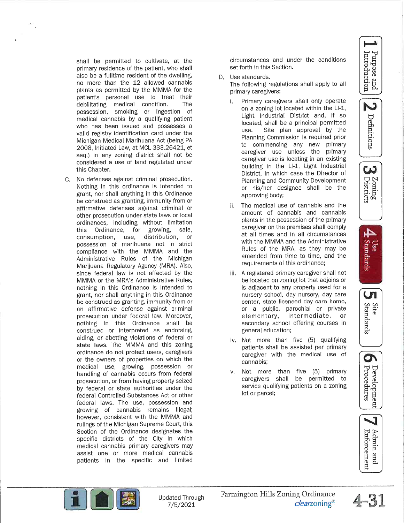Introduction Purpose and

N

Definitions ယ Zoning<br>Districts



**Site** Standards





shall be permitted to cultivate, at the primary residence of the patient, who shall also be a fulltime resident of the dwelling. no more than the 12 allowed cannabis plants as permitted by the MMMA for the patient's personal use to treat their debilitating medical condition. The possession, smoking or ingestion of medical cannabis by a qualifying patient who has been issued and possesses a valid registry identification card under the Michigan Medical Marihuana Act (being PA 2008, Initiated Law, at MCL 333.26421, et seq.) in any zoning district shall not be considered a use of land regulated under this Chapter.

C. No defenses against criminal prosecution. Nothing in this ordinance is intended to grant, nor shall anything in this Ordinance be construed as granting, immunity from or affirmative defenses against criminal or other prosecution under state laws or local ordinances, including without limitation Ordinance, for growing, sale, this consumption, use, distribution, or possession of marihuana not in strict compliance with the MMMA and the Administrative Rules of the Michigan Marijuana Regulatory Agency (MRA). Also, since federal law is not affected by the MMMA or the MRA's Administrative Rules, nothing in this Ordinance is intended to grant, nor shall anything in this Ordinance be construed as granting, immunity from or an affirmative defense against criminal prosecution under federal law. Moreover, nothing in this Ordinance shall be construed or interpreted as endorsing, aiding, or abetting violations of federal or state laws. The MMMA and this zoning ordinance do not protect users, caregivers or the owners of properties on which the medical use, growing, possession or handling of cannabis occurs from federal prosecution, or from having property seized by federal or state authorities under the federal Controlled Substances Act or other federal laws. The use, possession and growing of cannabis remains illegal; however, consistent with the MMMA and rulings of the Michigan Supreme Court, this Section of the Ordinance designates the specific districts of the City in which medical cannabis primary caregivers may assist one or more medical cannabis patients in the specific and limited

circumstances and under the conditions set forth in this Section.

#### D. Use standards.

The following regulations shall apply to all primary caregivers:

- i. Primary caregivers shall only operate on a zoning lot located within the LI-1, Light Industrial District and, if so located, shall be a principal permitted use. Site plan approval by the Planning Commission is required prior to commencing any new primary caregiver use unless the primary caregiver use is locating in an existing building in the LI-1, Light Industrial District, in which case the Director of Planning and Community Development or his/her designee shall be the approving body;
- The medical use of cannabis and the ii. amount of cannabis and cannabis plants in the possession of the primary caregiver on the premises shall comply at all times and in all circumstances with the MMMA and the Administrative Rules of the MRA, as they may be amended from time to time, and the requirements of this ordinance;
- iii. A registered primary caregiver shall not be located on zoning lot that adjoins or is adjacent to any property used for a nursery school, day nursery, day care center, state licensed day care home, or a public, parochial or private elementary, intermediate, or secondary school offering courses in general education;
- iv. Not more than five (5) qualifying patients shall be assisted per primary caregiver with the medical use of cannabis:
- Not more than five (5) primary v. caregivers shall be permitted to service qualifying patients on a zoning lot or parcel;